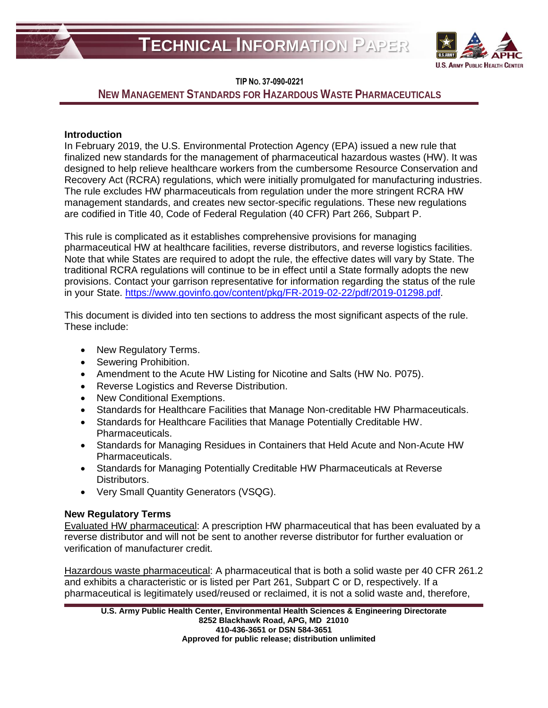



# **NEW MANAGEMENT STANDARDS FOR HAZARDOUS WASTE PHARMACEUTICALS**

# **Introduction**

In February 2019, the U.S. Environmental Protection Agency (EPA) issued a new rule that finalized new standards for the management of pharmaceutical hazardous wastes (HW). It was designed to help relieve healthcare workers from the cumbersome Resource Conservation and Recovery Act (RCRA) regulations, which were initially promulgated for manufacturing industries. The rule excludes HW pharmaceuticals from regulation under the more stringent RCRA HW management standards, and creates new sector-specific regulations. These new regulations are codified in Title 40, Code of Federal Regulation (40 CFR) Part 266, Subpart P.

This rule is complicated as it establishes comprehensive provisions for managing pharmaceutical HW at healthcare facilities, reverse distributors, and reverse logistics facilities. Note that while States are required to adopt the rule, the effective dates will vary by State. The traditional RCRA regulations will continue to be in effect until a State formally adopts the new provisions. Contact your garrison representative for information regarding the status of the rule in your State. [https://www.govinfo.gov/content/pkg/FR-2019-02-22/pdf/2019-01298.pdf.](https://www.govinfo.gov/content/pkg/FR-2019-02-22/pdf/2019-01298.pdf)

This document is divided into ten sections to address the most significant aspects of the rule. These include:

- New Regulatory Terms.
- Sewering Prohibition.
- Amendment to the Acute HW Listing for Nicotine and Salts (HW No. P075).
- Reverse Logistics and Reverse Distribution.
- New Conditional Exemptions.
- Standards for Healthcare Facilities that Manage Non-creditable HW Pharmaceuticals.
- Standards for Healthcare Facilities that Manage Potentially Creditable HW. Pharmaceuticals.
- Standards for Managing Residues in Containers that Held Acute and Non-Acute HW Pharmaceuticals.
- Standards for Managing Potentially Creditable HW Pharmaceuticals at Reverse Distributors.
- Very Small Quantity Generators (VSQG).

## **New Regulatory Terms**

Evaluated HW pharmaceutical: A prescription HW pharmaceutical that has been evaluated by a reverse distributor and will not be sent to another reverse distributor for further evaluation or verification of manufacturer credit.

Hazardous waste pharmaceutical: A pharmaceutical that is both a solid waste per 40 CFR 261.2 and exhibits a characteristic or is listed per Part 261, Subpart C or D, respectively. If a pharmaceutical is legitimately used/reused or reclaimed, it is not a solid waste and, therefore,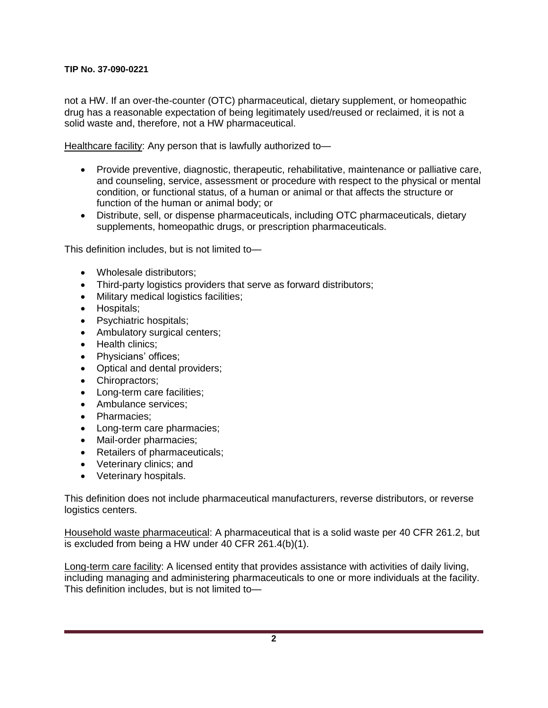not a HW. If an over-the-counter (OTC) pharmaceutical, dietary supplement, or homeopathic drug has a reasonable expectation of being legitimately used/reused or reclaimed, it is not a solid waste and, therefore, not a HW pharmaceutical.

Healthcare facility: Any person that is lawfully authorized to-

- Provide preventive, diagnostic, therapeutic, rehabilitative, maintenance or palliative care, and counseling, service, assessment or procedure with respect to the physical or mental condition, or functional status, of a human or animal or that affects the structure or function of the human or animal body; or
- Distribute, sell, or dispense pharmaceuticals, including OTC pharmaceuticals, dietary supplements, homeopathic drugs, or prescription pharmaceuticals.

This definition includes, but is not limited to—

- Wholesale distributors;
- Third-party logistics providers that serve as forward distributors;
- Military medical logistics facilities;
- Hospitals;
- Psychiatric hospitals:
- Ambulatory surgical centers;
- Health clinics:
- Physicians' offices;
- Optical and dental providers;
- Chiropractors:
- Long-term care facilities;
- Ambulance services:
- Pharmacies:
- Long-term care pharmacies;
- Mail-order pharmacies;
- Retailers of pharmaceuticals;
- Veterinary clinics; and
- Veterinary hospitals.

This definition does not include pharmaceutical manufacturers, reverse distributors, or reverse logistics centers.

Household waste pharmaceutical: A pharmaceutical that is a solid waste per 40 CFR 261.2, but is excluded from being a HW under 40 CFR 261.4(b)(1).

Long-term care facility: A licensed entity that provides assistance with activities of daily living, including managing and administering pharmaceuticals to one or more individuals at the facility. This definition includes, but is not limited to—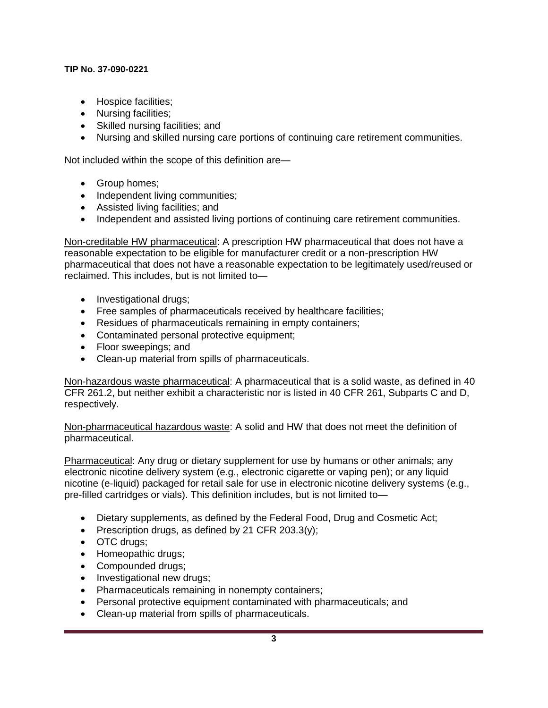- Hospice facilities;
- Nursing facilities;
- Skilled nursing facilities; and
- Nursing and skilled nursing care portions of continuing care retirement communities.

Not included within the scope of this definition are—

- Group homes:
- Independent living communities;
- Assisted living facilities; and
- Independent and assisted living portions of continuing care retirement communities.

Non-creditable HW pharmaceutical: A prescription HW pharmaceutical that does not have a reasonable expectation to be eligible for manufacturer credit or a non-prescription HW pharmaceutical that does not have a reasonable expectation to be legitimately used/reused or reclaimed. This includes, but is not limited to—

- Investigational drugs;
- Free samples of pharmaceuticals received by healthcare facilities;
- Residues of pharmaceuticals remaining in empty containers;
- Contaminated personal protective equipment;
- Floor sweepings; and
- Clean-up material from spills of pharmaceuticals.

Non-hazardous waste pharmaceutical: A pharmaceutical that is a solid waste, as defined in 40 CFR 261.2, but neither exhibit a characteristic nor is listed in 40 CFR 261, Subparts C and D, respectively.

Non-pharmaceutical hazardous waste: A solid and HW that does not meet the definition of pharmaceutical.

Pharmaceutical: Any drug or dietary supplement for use by humans or other animals; any electronic nicotine delivery system (e.g., electronic cigarette or vaping pen); or any liquid nicotine (e-liquid) packaged for retail sale for use in electronic nicotine delivery systems (e.g., pre-filled cartridges or vials). This definition includes, but is not limited to—

- Dietary supplements, as defined by the Federal Food, Drug and Cosmetic Act;
- Prescription drugs, as defined by 21 CFR 203.3(y);
- OTC drugs;
- Homeopathic drugs;
- Compounded drugs;
- Investigational new drugs;
- Pharmaceuticals remaining in nonempty containers;
- Personal protective equipment contaminated with pharmaceuticals; and
- Clean-up material from spills of pharmaceuticals.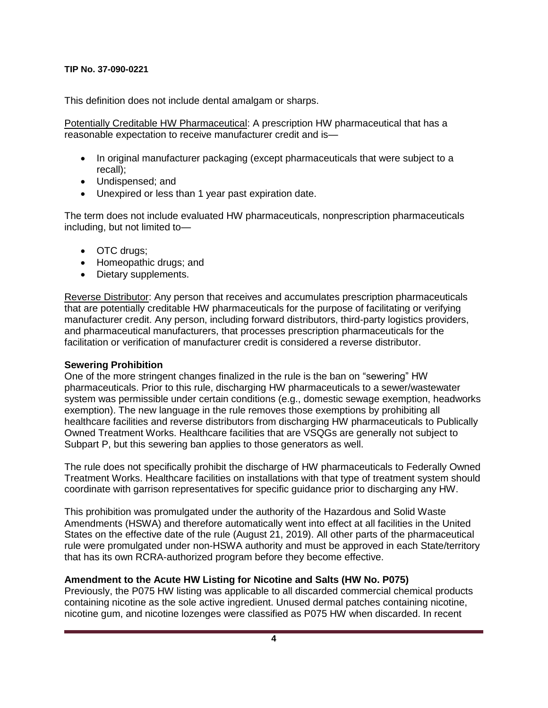This definition does not include dental amalgam or sharps.

Potentially Creditable HW Pharmaceutical: A prescription HW pharmaceutical that has a reasonable expectation to receive manufacturer credit and is—

- In original manufacturer packaging (except pharmaceuticals that were subject to a recall);
- Undispensed; and
- Unexpired or less than 1 year past expiration date.

The term does not include evaluated HW pharmaceuticals, nonprescription pharmaceuticals including, but not limited to—

- OTC drugs;
- Homeopathic drugs; and
- Dietary supplements.

Reverse Distributor: Any person that receives and accumulates prescription pharmaceuticals that are potentially creditable HW pharmaceuticals for the purpose of facilitating or verifying manufacturer credit. Any person, including forward distributors, third-party logistics providers, and pharmaceutical manufacturers, that processes prescription pharmaceuticals for the facilitation or verification of manufacturer credit is considered a reverse distributor.

# **Sewering Prohibition**

One of the more stringent changes finalized in the rule is the ban on "sewering" HW pharmaceuticals. Prior to this rule, discharging HW pharmaceuticals to a sewer/wastewater system was permissible under certain conditions (e.g., domestic sewage exemption, headworks exemption). The new language in the rule removes those exemptions by prohibiting all healthcare facilities and reverse distributors from discharging HW pharmaceuticals to Publically Owned Treatment Works. Healthcare facilities that are VSQGs are generally not subject to Subpart P, but this sewering ban applies to those generators as well.

The rule does not specifically prohibit the discharge of HW pharmaceuticals to Federally Owned Treatment Works. Healthcare facilities on installations with that type of treatment system should coordinate with garrison representatives for specific guidance prior to discharging any HW.

This prohibition was promulgated under the authority of the Hazardous and Solid Waste Amendments (HSWA) and therefore automatically went into effect at all facilities in the United States on the effective date of the rule (August 21, 2019). All other parts of the pharmaceutical rule were promulgated under non-HSWA authority and must be approved in each State/territory that has its own RCRA-authorized program before they become effective.

# **Amendment to the Acute HW Listing for Nicotine and Salts (HW No. P075)**

Previously, the P075 HW listing was applicable to all discarded commercial chemical products containing nicotine as the sole active ingredient. Unused dermal patches containing nicotine, nicotine gum, and nicotine lozenges were classified as P075 HW when discarded. In recent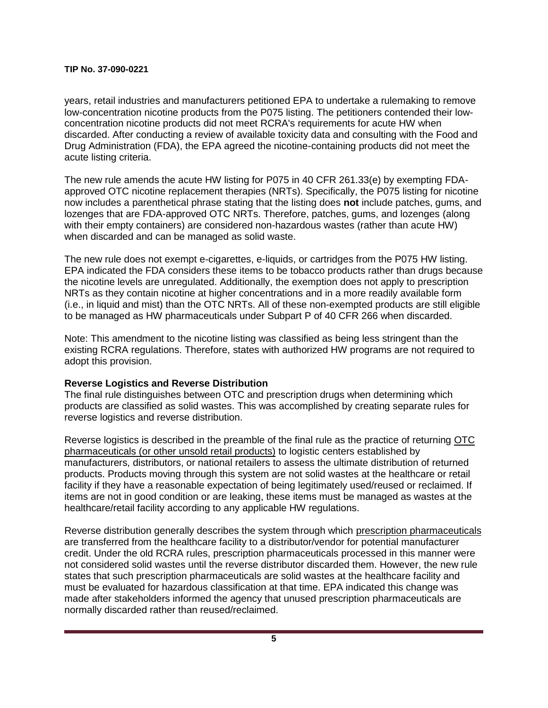years, retail industries and manufacturers petitioned EPA to undertake a rulemaking to remove low-concentration nicotine products from the P075 listing. The petitioners contended their lowconcentration nicotine products did not meet RCRA's requirements for acute HW when discarded. After conducting a review of available toxicity data and consulting with the Food and Drug Administration (FDA), the EPA agreed the nicotine-containing products did not meet the acute listing criteria.

The new rule amends the acute HW listing for P075 in 40 CFR 261.33(e) by exempting FDAapproved OTC nicotine replacement therapies (NRTs). Specifically, the P075 listing for nicotine now includes a parenthetical phrase stating that the listing does **not** include patches, gums, and lozenges that are FDA-approved OTC NRTs. Therefore, patches, gums, and lozenges (along with their empty containers) are considered non-hazardous wastes (rather than acute HW) when discarded and can be managed as solid waste.

The new rule does not exempt e-cigarettes, e-liquids, or cartridges from the P075 HW listing. EPA indicated the FDA considers these items to be tobacco products rather than drugs because the nicotine levels are unregulated. Additionally, the exemption does not apply to prescription NRTs as they contain nicotine at higher concentrations and in a more readily available form (i.e., in liquid and mist) than the OTC NRTs. All of these non-exempted products are still eligible to be managed as HW pharmaceuticals under Subpart P of 40 CFR 266 when discarded.

Note: This amendment to the nicotine listing was classified as being less stringent than the existing RCRA regulations. Therefore, states with authorized HW programs are not required to adopt this provision.

## **Reverse Logistics and Reverse Distribution**

The final rule distinguishes between OTC and prescription drugs when determining which products are classified as solid wastes. This was accomplished by creating separate rules for reverse logistics and reverse distribution.

Reverse logistics is described in the preamble of the final rule as the practice of returning OTC pharmaceuticals (or other unsold retail products) to logistic centers established by manufacturers, distributors, or national retailers to assess the ultimate distribution of returned products. Products moving through this system are not solid wastes at the healthcare or retail facility if they have a reasonable expectation of being legitimately used/reused or reclaimed. If items are not in good condition or are leaking, these items must be managed as wastes at the healthcare/retail facility according to any applicable HW regulations.

Reverse distribution generally describes the system through which prescription pharmaceuticals are transferred from the healthcare facility to a distributor/vendor for potential manufacturer credit. Under the old RCRA rules, prescription pharmaceuticals processed in this manner were not considered solid wastes until the reverse distributor discarded them. However, the new rule states that such prescription pharmaceuticals are solid wastes at the healthcare facility and must be evaluated for hazardous classification at that time. EPA indicated this change was made after stakeholders informed the agency that unused prescription pharmaceuticals are normally discarded rather than reused/reclaimed.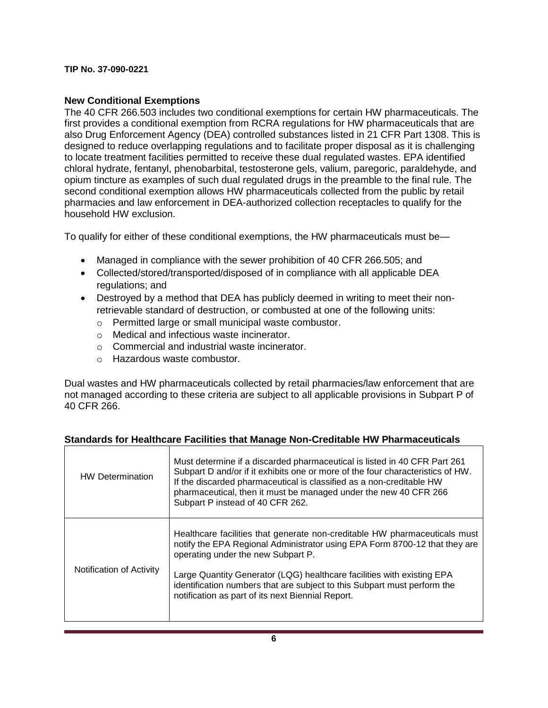# **New Conditional Exemptions**

The 40 CFR 266.503 includes two conditional exemptions for certain HW pharmaceuticals. The first provides a conditional exemption from RCRA regulations for HW pharmaceuticals that are also Drug Enforcement Agency (DEA) controlled substances listed in 21 CFR Part 1308. This is designed to reduce overlapping regulations and to facilitate proper disposal as it is challenging to locate treatment facilities permitted to receive these dual regulated wastes. EPA identified chloral hydrate, fentanyl, phenobarbital, testosterone gels, valium, paregoric, paraldehyde, and opium tincture as examples of such dual regulated drugs in the preamble to the final rule. The second conditional exemption allows HW pharmaceuticals collected from the public by retail pharmacies and law enforcement in DEA-authorized collection receptacles to qualify for the household HW exclusion.

To qualify for either of these conditional exemptions, the HW pharmaceuticals must be—

- Managed in compliance with the sewer prohibition of 40 CFR 266.505; and
- Collected/stored/transported/disposed of in compliance with all applicable DEA regulations; and
- Destroyed by a method that DEA has publicly deemed in writing to meet their nonretrievable standard of destruction, or combusted at one of the following units:
	- o Permitted large or small municipal waste combustor.
	- o Medical and infectious waste incinerator.
	- o Commercial and industrial waste incinerator.
	- o Hazardous waste combustor.

Dual wastes and HW pharmaceuticals collected by retail pharmacies/law enforcement that are not managed according to these criteria are subject to all applicable provisions in Subpart P of 40 CFR 266.

| <b>HW Determination</b>  | Must determine if a discarded pharmaceutical is listed in 40 CFR Part 261<br>Subpart D and/or if it exhibits one or more of the four characteristics of HW.<br>If the discarded pharmaceutical is classified as a non-creditable HW<br>pharmaceutical, then it must be managed under the new 40 CFR 266<br>Subpart P instead of 40 CFR 262.                                                               |
|--------------------------|-----------------------------------------------------------------------------------------------------------------------------------------------------------------------------------------------------------------------------------------------------------------------------------------------------------------------------------------------------------------------------------------------------------|
| Notification of Activity | Healthcare facilities that generate non-creditable HW pharmaceuticals must<br>notify the EPA Regional Administrator using EPA Form 8700-12 that they are<br>operating under the new Subpart P.<br>Large Quantity Generator (LQG) healthcare facilities with existing EPA<br>identification numbers that are subject to this Subpart must perform the<br>notification as part of its next Biennial Report. |

# **Standards for Healthcare Facilities that Manage Non-Creditable HW Pharmaceuticals**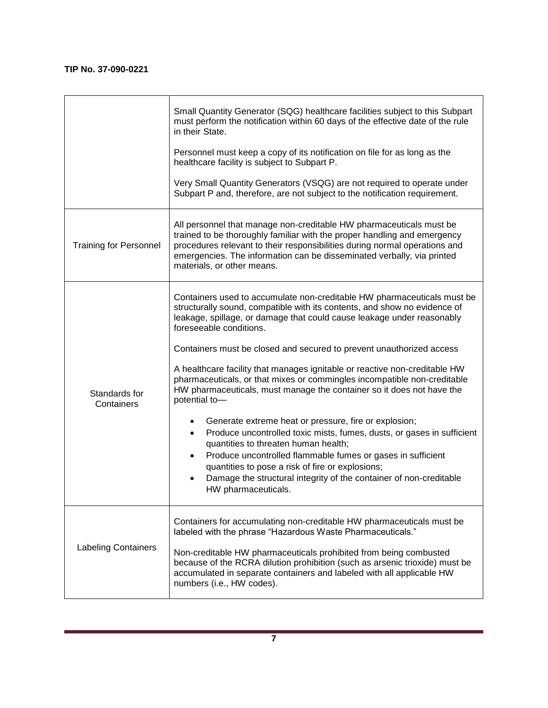|                               | Small Quantity Generator (SQG) healthcare facilities subject to this Subpart<br>must perform the notification within 60 days of the effective date of the rule<br>in their State.                                                                                                                                                                                                                    |
|-------------------------------|------------------------------------------------------------------------------------------------------------------------------------------------------------------------------------------------------------------------------------------------------------------------------------------------------------------------------------------------------------------------------------------------------|
|                               | Personnel must keep a copy of its notification on file for as long as the<br>healthcare facility is subject to Subpart P.                                                                                                                                                                                                                                                                            |
|                               | Very Small Quantity Generators (VSQG) are not required to operate under<br>Subpart P and, therefore, are not subject to the notification requirement.                                                                                                                                                                                                                                                |
| <b>Training for Personnel</b> | All personnel that manage non-creditable HW pharmaceuticals must be<br>trained to be thoroughly familiar with the proper handling and emergency<br>procedures relevant to their responsibilities during normal operations and<br>emergencies. The information can be disseminated verbally, via printed<br>materials, or other means.                                                                |
| Standards for<br>Containers   | Containers used to accumulate non-creditable HW pharmaceuticals must be<br>structurally sound, compatible with its contents, and show no evidence of<br>leakage, spillage, or damage that could cause leakage under reasonably<br>foreseeable conditions.                                                                                                                                            |
|                               | Containers must be closed and secured to prevent unauthorized access<br>A healthcare facility that manages ignitable or reactive non-creditable HW<br>pharmaceuticals, or that mixes or commingles incompatible non-creditable<br>HW pharmaceuticals, must manage the container so it does not have the<br>potential to-                                                                             |
|                               | Generate extreme heat or pressure, fire or explosion;<br>Produce uncontrolled toxic mists, fumes, dusts, or gases in sufficient<br>$\bullet$<br>quantities to threaten human health;<br>Produce uncontrolled flammable fumes or gases in sufficient<br>quantities to pose a risk of fire or explosions;<br>Damage the structural integrity of the container of non-creditable<br>HW pharmaceuticals. |
| <b>Labeling Containers</b>    | Containers for accumulating non-creditable HW pharmaceuticals must be<br>labeled with the phrase "Hazardous Waste Pharmaceuticals."<br>Non-creditable HW pharmaceuticals prohibited from being combusted<br>because of the RCRA dilution prohibition (such as arsenic trioxide) must be<br>accumulated in separate containers and labeled with all applicable HW<br>numbers (i.e., HW codes).        |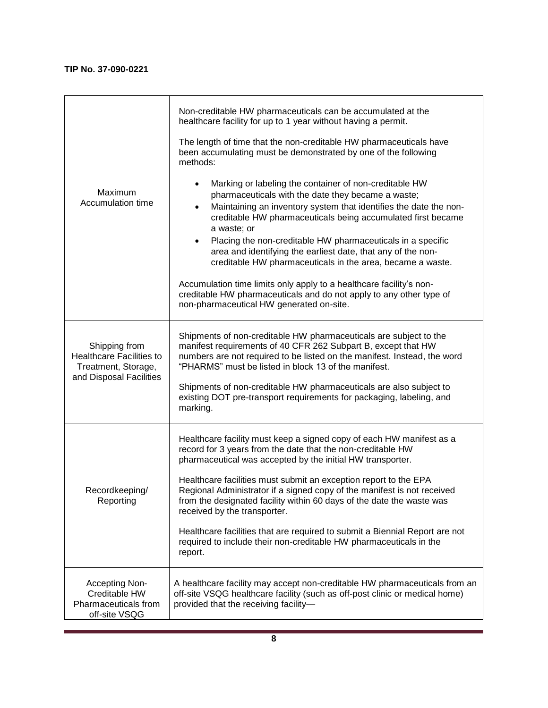| Maximum<br>Accumulation time                                                                       | Non-creditable HW pharmaceuticals can be accumulated at the<br>healthcare facility for up to 1 year without having a permit.<br>The length of time that the non-creditable HW pharmaceuticals have<br>been accumulating must be demonstrated by one of the following<br>methods:<br>Marking or labeling the container of non-creditable HW<br>pharmaceuticals with the date they became a waste;<br>Maintaining an inventory system that identifies the date the non-<br>$\bullet$<br>creditable HW pharmaceuticals being accumulated first became<br>a waste; or<br>Placing the non-creditable HW pharmaceuticals in a specific<br>area and identifying the earliest date, that any of the non-<br>creditable HW pharmaceuticals in the area, became a waste.<br>Accumulation time limits only apply to a healthcare facility's non-<br>creditable HW pharmaceuticals and do not apply to any other type of<br>non-pharmaceutical HW generated on-site. |
|----------------------------------------------------------------------------------------------------|----------------------------------------------------------------------------------------------------------------------------------------------------------------------------------------------------------------------------------------------------------------------------------------------------------------------------------------------------------------------------------------------------------------------------------------------------------------------------------------------------------------------------------------------------------------------------------------------------------------------------------------------------------------------------------------------------------------------------------------------------------------------------------------------------------------------------------------------------------------------------------------------------------------------------------------------------------|
| Shipping from<br><b>Healthcare Facilities to</b><br>Treatment, Storage,<br>and Disposal Facilities | Shipments of non-creditable HW pharmaceuticals are subject to the<br>manifest requirements of 40 CFR 262 Subpart B, except that HW<br>numbers are not required to be listed on the manifest. Instead, the word<br>"PHARMS" must be listed in block 13 of the manifest.<br>Shipments of non-creditable HW pharmaceuticals are also subject to<br>existing DOT pre-transport requirements for packaging, labeling, and<br>marking.                                                                                                                                                                                                                                                                                                                                                                                                                                                                                                                         |
| Recordkeeping/<br>Reporting                                                                        | Healthcare facility must keep a signed copy of each HW manifest as a<br>record for 3 years from the date that the non-creditable HW<br>pharmaceutical was accepted by the initial HW transporter.<br>Healthcare facilities must submit an exception report to the EPA<br>Regional Administrator if a signed copy of the manifest is not received<br>from the designated facility within 60 days of the date the waste was<br>received by the transporter.<br>Healthcare facilities that are required to submit a Biennial Report are not<br>required to include their non-creditable HW pharmaceuticals in the<br>report.                                                                                                                                                                                                                                                                                                                                |
| Accepting Non-<br>Creditable HW<br>Pharmaceuticals from<br>off-site VSQG                           | A healthcare facility may accept non-creditable HW pharmaceuticals from an<br>off-site VSQG healthcare facility (such as off-post clinic or medical home)<br>provided that the receiving facility-                                                                                                                                                                                                                                                                                                                                                                                                                                                                                                                                                                                                                                                                                                                                                       |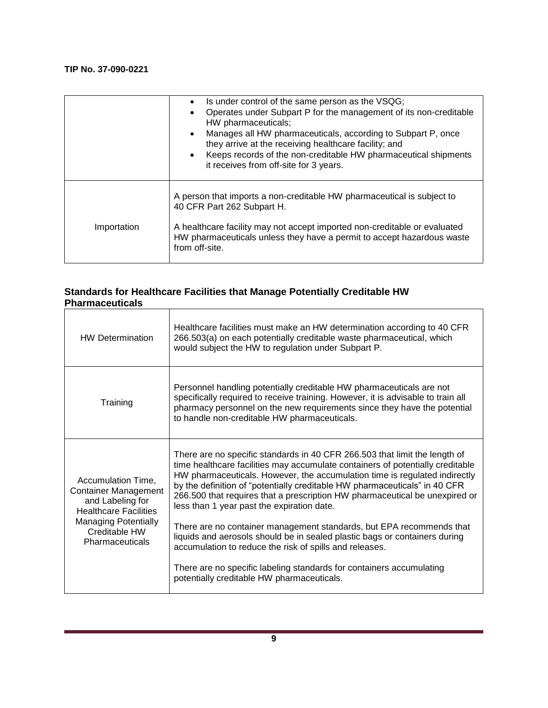|             | Is under control of the same person as the VSQG;<br>$\bullet$<br>Operates under Subpart P for the management of its non-creditable<br>HW pharmaceuticals;<br>Manages all HW pharmaceuticals, according to Subpart P, once<br>$\bullet$<br>they arrive at the receiving healthcare facility; and<br>• Keeps records of the non-creditable HW pharmaceutical shipments<br>it receives from off-site for 3 years. |
|-------------|----------------------------------------------------------------------------------------------------------------------------------------------------------------------------------------------------------------------------------------------------------------------------------------------------------------------------------------------------------------------------------------------------------------|
|             | A person that imports a non-creditable HW pharmaceutical is subject to<br>40 CFR Part 262 Subpart H.                                                                                                                                                                                                                                                                                                           |
| Importation | A healthcare facility may not accept imported non-creditable or evaluated<br>HW pharmaceuticals unless they have a permit to accept hazardous waste<br>from off-site.                                                                                                                                                                                                                                          |

## **Standards for Healthcare Facilities that Manage Potentially Creditable HW Pharmaceuticals**

| <b>HW Determination</b>                                                                                                                                                  | Healthcare facilities must make an HW determination according to 40 CFR<br>266.503(a) on each potentially creditable waste pharmaceutical, which<br>would subject the HW to regulation under Subpart P.                                                                                                                                                                                                                                                                                                                                                                                                                                                                                                                                                                                      |
|--------------------------------------------------------------------------------------------------------------------------------------------------------------------------|----------------------------------------------------------------------------------------------------------------------------------------------------------------------------------------------------------------------------------------------------------------------------------------------------------------------------------------------------------------------------------------------------------------------------------------------------------------------------------------------------------------------------------------------------------------------------------------------------------------------------------------------------------------------------------------------------------------------------------------------------------------------------------------------|
| Training                                                                                                                                                                 | Personnel handling potentially creditable HW pharmaceuticals are not<br>specifically required to receive training. However, it is advisable to train all<br>pharmacy personnel on the new requirements since they have the potential<br>to handle non-creditable HW pharmaceuticals.                                                                                                                                                                                                                                                                                                                                                                                                                                                                                                         |
| Accumulation Time,<br><b>Container Management</b><br>and Labeling for<br><b>Healthcare Facilities</b><br><b>Managing Potentially</b><br>Creditable HW<br>Pharmaceuticals | There are no specific standards in 40 CFR 266.503 that limit the length of<br>time healthcare facilities may accumulate containers of potentially creditable<br>HW pharmaceuticals. However, the accumulation time is regulated indirectly<br>by the definition of "potentially creditable HW pharmaceuticals" in 40 CFR<br>266.500 that requires that a prescription HW pharmaceutical be unexpired or<br>less than 1 year past the expiration date.<br>There are no container management standards, but EPA recommends that<br>liquids and aerosols should be in sealed plastic bags or containers during<br>accumulation to reduce the risk of spills and releases.<br>There are no specific labeling standards for containers accumulating<br>potentially creditable HW pharmaceuticals. |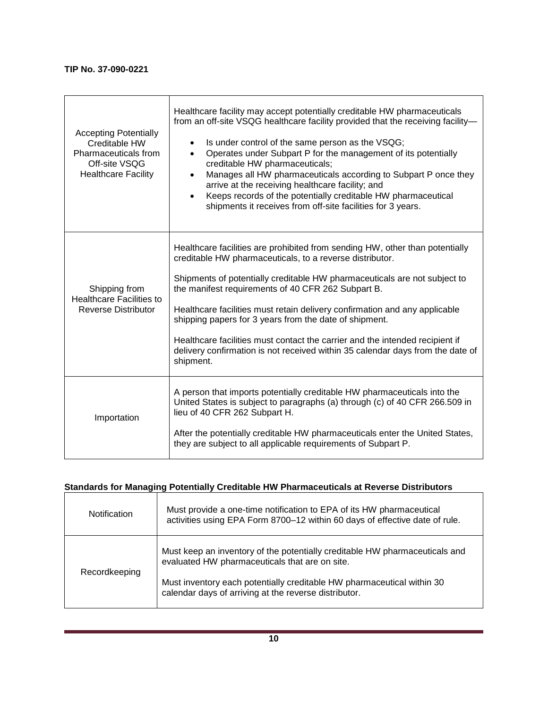| <b>Accepting Potentially</b><br>Creditable HW<br>Pharmaceuticals from<br>Off-site VSQG<br><b>Healthcare Facility</b> | Healthcare facility may accept potentially creditable HW pharmaceuticals<br>from an off-site VSQG healthcare facility provided that the receiving facility-<br>Is under control of the same person as the VSQG;<br>$\bullet$<br>Operates under Subpart P for the management of its potentially<br>$\bullet$<br>creditable HW pharmaceuticals;<br>Manages all HW pharmaceuticals according to Subpart P once they<br>$\bullet$<br>arrive at the receiving healthcare facility; and<br>Keeps records of the potentially creditable HW pharmaceutical<br>$\bullet$<br>shipments it receives from off-site facilities for 3 years. |
|----------------------------------------------------------------------------------------------------------------------|--------------------------------------------------------------------------------------------------------------------------------------------------------------------------------------------------------------------------------------------------------------------------------------------------------------------------------------------------------------------------------------------------------------------------------------------------------------------------------------------------------------------------------------------------------------------------------------------------------------------------------|
| Shipping from<br><b>Healthcare Facilities to</b><br><b>Reverse Distributor</b>                                       | Healthcare facilities are prohibited from sending HW, other than potentially<br>creditable HW pharmaceuticals, to a reverse distributor.<br>Shipments of potentially creditable HW pharmaceuticals are not subject to<br>the manifest requirements of 40 CFR 262 Subpart B.<br>Healthcare facilities must retain delivery confirmation and any applicable<br>shipping papers for 3 years from the date of shipment.<br>Healthcare facilities must contact the carrier and the intended recipient if<br>delivery confirmation is not received within 35 calendar days from the date of<br>shipment.                             |
| Importation                                                                                                          | A person that imports potentially creditable HW pharmaceuticals into the<br>United States is subject to paragraphs (a) through (c) of 40 CFR 266.509 in<br>lieu of 40 CFR 262 Subpart H.<br>After the potentially creditable HW pharmaceuticals enter the United States,<br>they are subject to all applicable requirements of Subpart P.                                                                                                                                                                                                                                                                                      |

# **Standards for Managing Potentially Creditable HW Pharmaceuticals at Reverse Distributors**

| <b>Notification</b> | Must provide a one-time notification to EPA of its HW pharmaceutical<br>activities using EPA Form 8700-12 within 60 days of effective date of rule. |
|---------------------|-----------------------------------------------------------------------------------------------------------------------------------------------------|
| Recordkeeping       | Must keep an inventory of the potentially creditable HW pharmaceuticals and<br>evaluated HW pharmaceuticals that are on site.                       |
|                     | Must inventory each potentially creditable HW pharmaceutical within 30<br>calendar days of arriving at the reverse distributor.                     |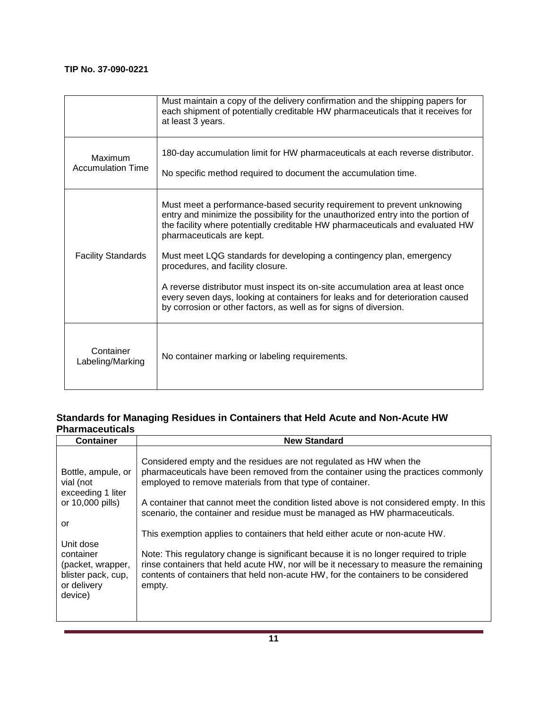|                                     | Must maintain a copy of the delivery confirmation and the shipping papers for<br>each shipment of potentially creditable HW pharmaceuticals that it receives for<br>at least 3 years.                                                                                                                                                                                                   |
|-------------------------------------|-----------------------------------------------------------------------------------------------------------------------------------------------------------------------------------------------------------------------------------------------------------------------------------------------------------------------------------------------------------------------------------------|
| Maximum<br><b>Accumulation Time</b> | 180-day accumulation limit for HW pharmaceuticals at each reverse distributor.<br>No specific method required to document the accumulation time.                                                                                                                                                                                                                                        |
| <b>Facility Standards</b>           | Must meet a performance-based security requirement to prevent unknowing<br>entry and minimize the possibility for the unauthorized entry into the portion of<br>the facility where potentially creditable HW pharmaceuticals and evaluated HW<br>pharmaceuticals are kept.<br>Must meet LQG standards for developing a contingency plan, emergency<br>procedures, and facility closure. |
|                                     | A reverse distributor must inspect its on-site accumulation area at least once<br>every seven days, looking at containers for leaks and for deterioration caused<br>by corrosion or other factors, as well as for signs of diversion.                                                                                                                                                   |
| Container<br>Labeling/Marking       | No container marking or labeling requirements.                                                                                                                                                                                                                                                                                                                                          |

# **Standards for Managing Residues in Containers that Held Acute and Non-Acute HW Pharmaceuticals**

| <b>Container</b>                                                                                                                                                              | <b>New Standard</b>                                                                                                                                                                                                                                                                                                                                                                                                                                                                                                                                                                                                                                                                                                                                                |
|-------------------------------------------------------------------------------------------------------------------------------------------------------------------------------|--------------------------------------------------------------------------------------------------------------------------------------------------------------------------------------------------------------------------------------------------------------------------------------------------------------------------------------------------------------------------------------------------------------------------------------------------------------------------------------------------------------------------------------------------------------------------------------------------------------------------------------------------------------------------------------------------------------------------------------------------------------------|
| Bottle, ampule, or<br>vial (not<br>exceeding 1 liter<br>or 10,000 pills)<br>or<br>Unit dose<br>container<br>(packet, wrapper,<br>blister pack, cup,<br>or delivery<br>device) | Considered empty and the residues are not regulated as HW when the<br>pharmaceuticals have been removed from the container using the practices commonly<br>employed to remove materials from that type of container.<br>A container that cannot meet the condition listed above is not considered empty. In this<br>scenario, the container and residue must be managed as HW pharmaceuticals.<br>This exemption applies to containers that held either acute or non-acute HW.<br>Note: This regulatory change is significant because it is no longer required to triple<br>rinse containers that held acute HW, nor will be it necessary to measure the remaining<br>contents of containers that held non-acute HW, for the containers to be considered<br>empty. |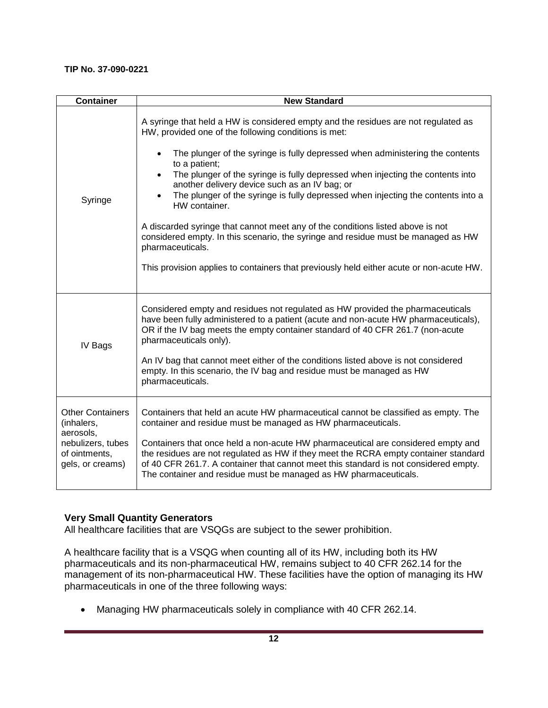| <b>Container</b>                                                                                             | <b>New Standard</b>                                                                                                                                                                                                                                                                                                                                                                                                                                                                                                                                                                                                                                                                                                                                                                                               |
|--------------------------------------------------------------------------------------------------------------|-------------------------------------------------------------------------------------------------------------------------------------------------------------------------------------------------------------------------------------------------------------------------------------------------------------------------------------------------------------------------------------------------------------------------------------------------------------------------------------------------------------------------------------------------------------------------------------------------------------------------------------------------------------------------------------------------------------------------------------------------------------------------------------------------------------------|
| Syringe                                                                                                      | A syringe that held a HW is considered empty and the residues are not regulated as<br>HW, provided one of the following conditions is met:<br>The plunger of the syringe is fully depressed when administering the contents<br>$\bullet$<br>to a patient;<br>The plunger of the syringe is fully depressed when injecting the contents into<br>$\bullet$<br>another delivery device such as an IV bag; or<br>The plunger of the syringe is fully depressed when injecting the contents into a<br>$\bullet$<br>HW container.<br>A discarded syringe that cannot meet any of the conditions listed above is not<br>considered empty. In this scenario, the syringe and residue must be managed as HW<br>pharmaceuticals.<br>This provision applies to containers that previously held either acute or non-acute HW. |
| IV Bags                                                                                                      | Considered empty and residues not regulated as HW provided the pharmaceuticals<br>have been fully administered to a patient (acute and non-acute HW pharmaceuticals),<br>OR if the IV bag meets the empty container standard of 40 CFR 261.7 (non-acute<br>pharmaceuticals only).<br>An IV bag that cannot meet either of the conditions listed above is not considered<br>empty. In this scenario, the IV bag and residue must be managed as HW<br>pharmaceuticals.                                                                                                                                                                                                                                                                                                                                              |
| <b>Other Containers</b><br>(inhalers,<br>aerosols,<br>nebulizers, tubes<br>of ointments,<br>gels, or creams) | Containers that held an acute HW pharmaceutical cannot be classified as empty. The<br>container and residue must be managed as HW pharmaceuticals.<br>Containers that once held a non-acute HW pharmaceutical are considered empty and<br>the residues are not regulated as HW if they meet the RCRA empty container standard<br>of 40 CFR 261.7. A container that cannot meet this standard is not considered empty.<br>The container and residue must be managed as HW pharmaceuticals.                                                                                                                                                                                                                                                                                                                         |

# **Very Small Quantity Generators**

All healthcare facilities that are VSQGs are subject to the sewer prohibition.

A healthcare facility that is a VSQG when counting all of its HW, including both its HW pharmaceuticals and its non-pharmaceutical HW, remains subject to 40 CFR 262.14 for the management of its non-pharmaceutical HW. These facilities have the option of managing its HW pharmaceuticals in one of the three following ways:

• Managing HW pharmaceuticals solely in compliance with 40 CFR 262.14.